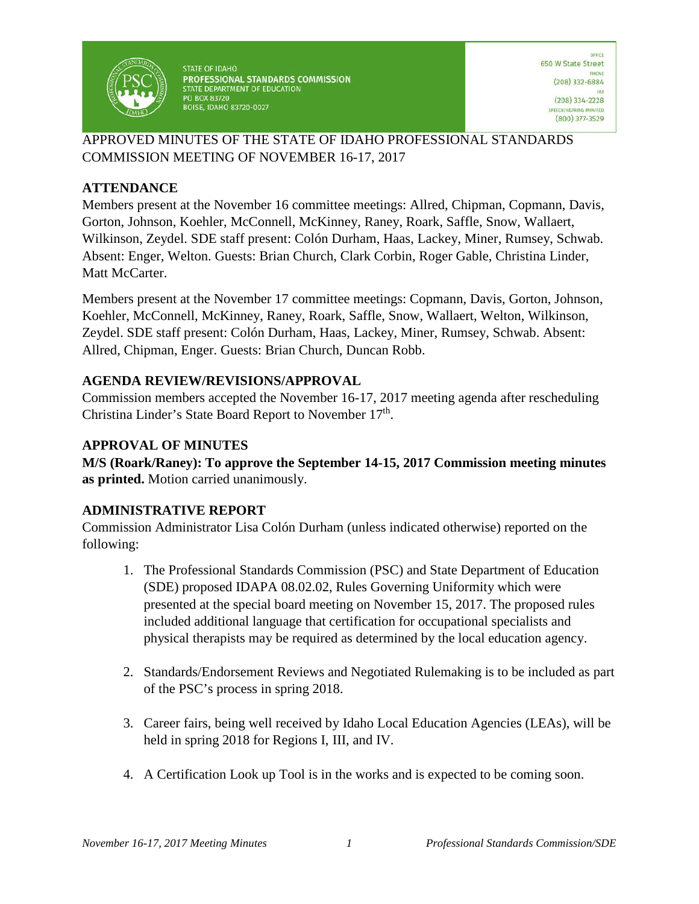

**STATE OF IDAHO** PROFESSIONAL STANDARDS COMMISSION STATE DEPARTMENT OF EDUCATION **PO BOX 83720 BOISE, IDAHO 83720-0027** 

### APPROVED MINUTES OF THE STATE OF IDAHO PROFESSIONAL STANDARDS COMMISSION MEETING OF NOVEMBER 16-17, 2017

# **ATTENDANCE**

Members present at the November 16 committee meetings: Allred, Chipman, Copmann, Davis, Gorton, Johnson, Koehler, McConnell, McKinney, Raney, Roark, Saffle, Snow, Wallaert, Wilkinson, Zeydel. SDE staff present: Colón Durham, Haas, Lackey, Miner, Rumsey, Schwab. Absent: Enger, Welton. Guests: Brian Church, Clark Corbin, Roger Gable, Christina Linder, Matt McCarter.

Members present at the November 17 committee meetings: Copmann, Davis, Gorton, Johnson, Koehler, McConnell, McKinney, Raney, Roark, Saffle, Snow, Wallaert, Welton, Wilkinson, Zeydel. SDE staff present: Colón Durham, Haas, Lackey, Miner, Rumsey, Schwab. Absent: Allred, Chipman, Enger. Guests: Brian Church, Duncan Robb.

### **AGENDA REVIEW/REVISIONS/APPROVAL**

Commission members accepted the November 16-17, 2017 meeting agenda after rescheduling Christina Linder's State Board Report to November 17<sup>th</sup>.

# **APPROVAL OF MINUTES**

**M/S (Roark/Raney): To approve the September 14-15, 2017 Commission meeting minutes as printed.** Motion carried unanimously.

# **ADMINISTRATIVE REPORT**

Commission Administrator Lisa Colón Durham (unless indicated otherwise) reported on the following:

- 1. The Professional Standards Commission (PSC) and State Department of Education (SDE) proposed IDAPA 08.02.02, Rules Governing Uniformity which were presented at the special board meeting on November 15, 2017. The proposed rules included additional language that certification for occupational specialists and physical therapists may be required as determined by the local education agency.
- 2. Standards/Endorsement Reviews and Negotiated Rulemaking is to be included as part of the PSC's process in spring 2018.
- 3. Career fairs, being well received by Idaho Local Education Agencies (LEAs), will be held in spring 2018 for Regions I, III, and IV.
- 4. A Certification Look up Tool is in the works and is expected to be coming soon.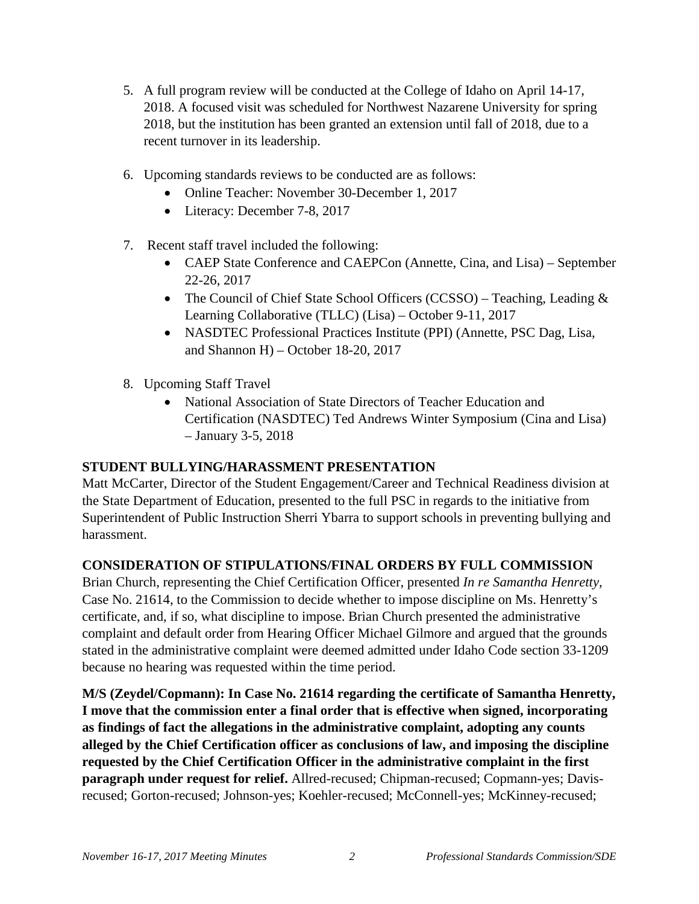- 5. A full program review will be conducted at the College of Idaho on April 14-17, 2018. A focused visit was scheduled for Northwest Nazarene University for spring 2018, but the institution has been granted an extension until fall of 2018, due to a recent turnover in its leadership.
- 6. Upcoming standards reviews to be conducted are as follows:
	- Online Teacher: November 30-December 1, 2017
	- Literacy: December 7-8, 2017
- 7. Recent staff travel included the following:
	- CAEP State Conference and CAEPCon (Annette, Cina, and Lisa) September 22-26, 2017
	- The Council of Chief State School Officers (CCSSO) Teaching, Leading & Learning Collaborative (TLLC) (Lisa) – October 9-11, 2017
	- NASDTEC Professional Practices Institute (PPI) (Annette, PSC Dag, Lisa, and Shannon H) – October 18-20, 2017
- 8. Upcoming Staff Travel
	- National Association of State Directors of Teacher Education and Certification (NASDTEC) Ted Andrews Winter Symposium (Cina and Lisa) – January 3-5, 2018

#### **STUDENT BULLYING/HARASSMENT PRESENTATION**

Matt McCarter, Director of the Student Engagement/Career and Technical Readiness division at the State Department of Education, presented to the full PSC in regards to the initiative from Superintendent of Public Instruction Sherri Ybarra to support schools in preventing bullying and harassment.

# **CONSIDERATION OF STIPULATIONS/FINAL ORDERS BY FULL COMMISSION**

Brian Church, representing the Chief Certification Officer, presented *In re Samantha Henretty*, Case No. 21614, to the Commission to decide whether to impose discipline on Ms. Henretty's certificate, and, if so, what discipline to impose. Brian Church presented the administrative complaint and default order from Hearing Officer Michael Gilmore and argued that the grounds stated in the administrative complaint were deemed admitted under Idaho Code section 33-1209 because no hearing was requested within the time period.

**M/S (Zeydel/Copmann): In Case No. 21614 regarding the certificate of Samantha Henretty, I move that the commission enter a final order that is effective when signed, incorporating as findings of fact the allegations in the administrative complaint, adopting any counts alleged by the Chief Certification officer as conclusions of law, and imposing the discipline requested by the Chief Certification Officer in the administrative complaint in the first paragraph under request for relief.** Allred-recused; Chipman-recused; Copmann-yes; Davisrecused; Gorton-recused; Johnson-yes; Koehler-recused; McConnell-yes; McKinney-recused;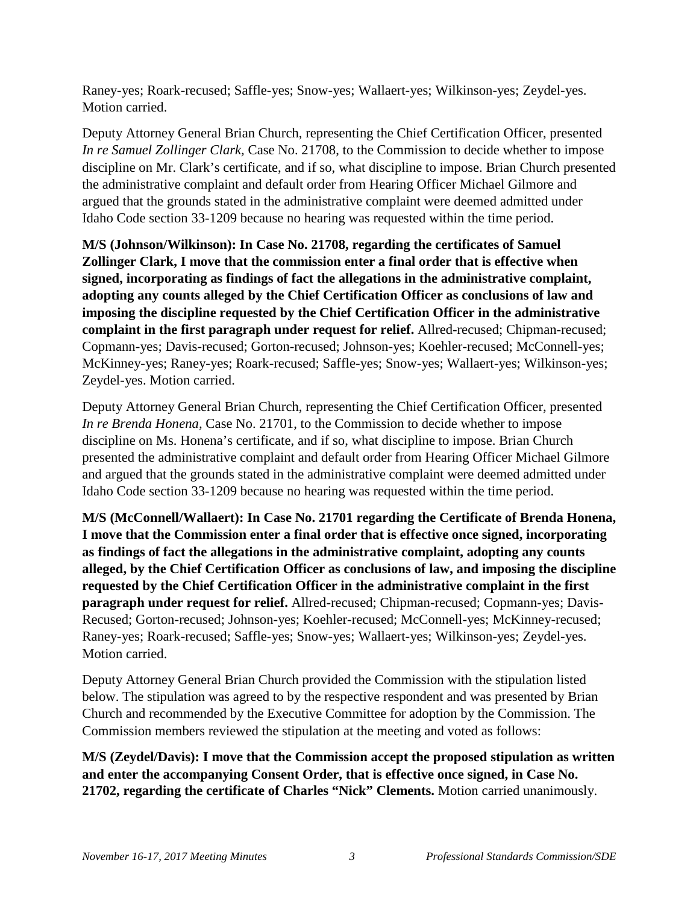Raney-yes; Roark-recused; Saffle-yes; Snow-yes; Wallaert-yes; Wilkinson-yes; Zeydel-yes. Motion carried.

Deputy Attorney General Brian Church, representing the Chief Certification Officer, presented *In re Samuel Zollinger Clark,* Case No. 21708, to the Commission to decide whether to impose discipline on Mr. Clark's certificate, and if so, what discipline to impose. Brian Church presented the administrative complaint and default order from Hearing Officer Michael Gilmore and argued that the grounds stated in the administrative complaint were deemed admitted under Idaho Code section 33-1209 because no hearing was requested within the time period.

**M/S (Johnson/Wilkinson): In Case No. 21708, regarding the certificates of Samuel Zollinger Clark, I move that the commission enter a final order that is effective when signed, incorporating as findings of fact the allegations in the administrative complaint, adopting any counts alleged by the Chief Certification Officer as conclusions of law and imposing the discipline requested by the Chief Certification Officer in the administrative complaint in the first paragraph under request for relief.** Allred-recused; Chipman-recused; Copmann-yes; Davis-recused; Gorton-recused; Johnson-yes; Koehler-recused; McConnell-yes; McKinney-yes; Raney-yes; Roark-recused; Saffle-yes; Snow-yes; Wallaert-yes; Wilkinson-yes; Zeydel-yes. Motion carried.

Deputy Attorney General Brian Church, representing the Chief Certification Officer, presented *In re Brenda Honena,* Case No. 21701, to the Commission to decide whether to impose discipline on Ms. Honena's certificate, and if so, what discipline to impose. Brian Church presented the administrative complaint and default order from Hearing Officer Michael Gilmore and argued that the grounds stated in the administrative complaint were deemed admitted under Idaho Code section 33-1209 because no hearing was requested within the time period.

**M/S (McConnell/Wallaert): In Case No. 21701 regarding the Certificate of Brenda Honena, I move that the Commission enter a final order that is effective once signed, incorporating as findings of fact the allegations in the administrative complaint, adopting any counts alleged, by the Chief Certification Officer as conclusions of law, and imposing the discipline requested by the Chief Certification Officer in the administrative complaint in the first paragraph under request for relief.** Allred-recused; Chipman-recused; Copmann-yes; Davis-Recused; Gorton-recused; Johnson-yes; Koehler-recused; McConnell-yes; McKinney-recused; Raney-yes; Roark-recused; Saffle-yes; Snow-yes; Wallaert-yes; Wilkinson-yes; Zeydel-yes. Motion carried.

Deputy Attorney General Brian Church provided the Commission with the stipulation listed below. The stipulation was agreed to by the respective respondent and was presented by Brian Church and recommended by the Executive Committee for adoption by the Commission. The Commission members reviewed the stipulation at the meeting and voted as follows:

**M/S (Zeydel/Davis): I move that the Commission accept the proposed stipulation as written and enter the accompanying Consent Order, that is effective once signed, in Case No. 21702, regarding the certificate of Charles "Nick" Clements.** Motion carried unanimously.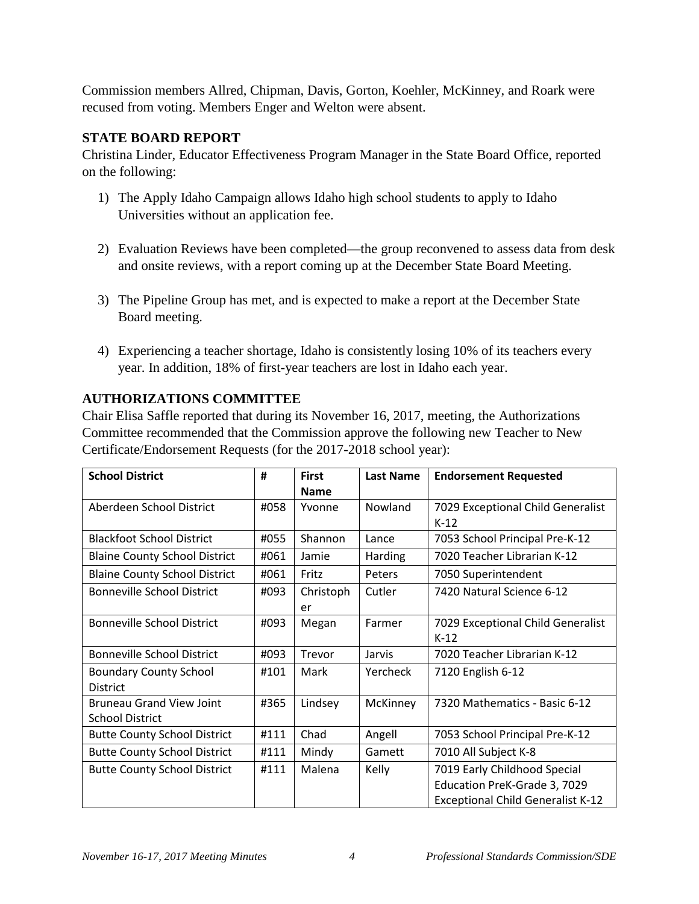Commission members Allred, Chipman, Davis, Gorton, Koehler, McKinney, and Roark were recused from voting. Members Enger and Welton were absent.

### **STATE BOARD REPORT**

Christina Linder, Educator Effectiveness Program Manager in the State Board Office, reported on the following:

- 1) The Apply Idaho Campaign allows Idaho high school students to apply to Idaho Universities without an application fee.
- 2) Evaluation Reviews have been completed—the group reconvened to assess data from desk and onsite reviews, with a report coming up at the December State Board Meeting.
- 3) The Pipeline Group has met, and is expected to make a report at the December State Board meeting.
- 4) Experiencing a teacher shortage, Idaho is consistently losing 10% of its teachers every year. In addition, 18% of first-year teachers are lost in Idaho each year.

# **AUTHORIZATIONS COMMITTEE**

Chair Elisa Saffle reported that during its November 16, 2017, meeting, the Authorizations Committee recommended that the Commission approve the following new Teacher to New Certificate/Endorsement Requests (for the 2017-2018 school year):

| <b>School District</b>               | #    | <b>First</b>          | <b>Last Name</b> | <b>Endorsement Requested</b>                |
|--------------------------------------|------|-----------------------|------------------|---------------------------------------------|
| Aberdeen School District             | #058 | <b>Name</b><br>Yvonne | Nowland          | 7029 Exceptional Child Generalist           |
|                                      |      |                       |                  | $K-12$                                      |
| <b>Blackfoot School District</b>     | #055 | Shannon               | Lance            | 7053 School Principal Pre-K-12              |
| <b>Blaine County School District</b> | #061 | Jamie                 | Harding          | 7020 Teacher Librarian K-12                 |
| <b>Blaine County School District</b> | #061 | Fritz                 | Peters           | 7050 Superintendent                         |
| <b>Bonneville School District</b>    | #093 | Christoph<br>er       | Cutler           | 7420 Natural Science 6-12                   |
| <b>Bonneville School District</b>    | #093 | Megan                 | Farmer           | 7029 Exceptional Child Generalist<br>$K-12$ |
| <b>Bonneville School District</b>    | #093 | Trevor                | Jarvis           | 7020 Teacher Librarian K-12                 |
| <b>Boundary County School</b>        | #101 | Mark                  | Yercheck         | 7120 English 6-12                           |
| <b>District</b>                      |      |                       |                  |                                             |
| <b>Bruneau Grand View Joint</b>      | #365 | Lindsey               | McKinney         | 7320 Mathematics - Basic 6-12               |
| <b>School District</b>               |      |                       |                  |                                             |
| <b>Butte County School District</b>  | #111 | Chad                  | Angell           | 7053 School Principal Pre-K-12              |
| <b>Butte County School District</b>  | #111 | Mindy                 | Gamett           | 7010 All Subject K-8                        |
| <b>Butte County School District</b>  | #111 | Malena                | Kelly            | 7019 Early Childhood Special                |
|                                      |      |                       |                  | Education PreK-Grade 3, 7029                |
|                                      |      |                       |                  | <b>Exceptional Child Generalist K-12</b>    |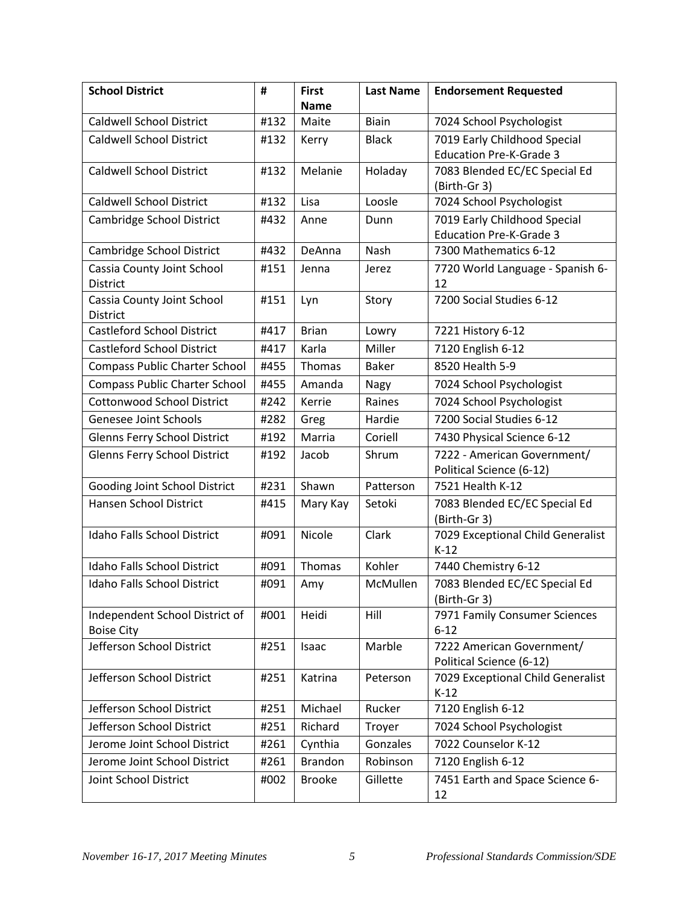| <b>School District</b>                        | #    | <b>First</b>   | <b>Last Name</b> | <b>Endorsement Requested</b>                            |
|-----------------------------------------------|------|----------------|------------------|---------------------------------------------------------|
|                                               |      | <b>Name</b>    |                  |                                                         |
| <b>Caldwell School District</b>               | #132 | Maite          | <b>Biain</b>     | 7024 School Psychologist                                |
| <b>Caldwell School District</b>               | #132 | Kerry          | <b>Black</b>     | 7019 Early Childhood Special                            |
|                                               |      |                |                  | <b>Education Pre-K-Grade 3</b>                          |
| <b>Caldwell School District</b>               | #132 | Melanie        | Holaday          | 7083 Blended EC/EC Special Ed                           |
|                                               |      |                |                  | (Birth-Gr 3)                                            |
| <b>Caldwell School District</b>               | #132 | Lisa           | Loosle           | 7024 School Psychologist                                |
| Cambridge School District                     | #432 | Anne           | Dunn             | 7019 Early Childhood Special                            |
| Cambridge School District                     | #432 | DeAnna         | Nash             | <b>Education Pre-K-Grade 3</b><br>7300 Mathematics 6-12 |
|                                               |      |                |                  |                                                         |
| Cassia County Joint School<br><b>District</b> | #151 | Jenna          | Jerez            | 7720 World Language - Spanish 6-<br>12                  |
| Cassia County Joint School                    | #151 | Lyn            | Story            | 7200 Social Studies 6-12                                |
| <b>District</b>                               |      |                |                  |                                                         |
| <b>Castleford School District</b>             | #417 | <b>Brian</b>   | Lowry            | 7221 History 6-12                                       |
| <b>Castleford School District</b>             | #417 | Karla          | Miller           | 7120 English 6-12                                       |
| <b>Compass Public Charter School</b>          | #455 | Thomas         | <b>Baker</b>     | 8520 Health 5-9                                         |
| <b>Compass Public Charter School</b>          | #455 | Amanda         | Nagy             | 7024 School Psychologist                                |
| <b>Cottonwood School District</b>             | #242 | Kerrie         | Raines           | 7024 School Psychologist                                |
| Genesee Joint Schools                         | #282 | Greg           | Hardie           | 7200 Social Studies 6-12                                |
| <b>Glenns Ferry School District</b>           | #192 | Marria         | Coriell          | 7430 Physical Science 6-12                              |
| <b>Glenns Ferry School District</b>           | #192 | Jacob          | Shrum            | 7222 - American Government/                             |
|                                               |      |                |                  | Political Science (6-12)                                |
| Gooding Joint School District                 | #231 | Shawn          | Patterson        | 7521 Health K-12                                        |
| Hansen School District                        | #415 | Mary Kay       | Setoki           | 7083 Blended EC/EC Special Ed                           |
|                                               |      |                |                  | (Birth-Gr 3)                                            |
| Idaho Falls School District                   | #091 | Nicole         | Clark            | 7029 Exceptional Child Generalist                       |
| Idaho Falls School District                   | #091 | Thomas         | Kohler           | $K-12$<br>7440 Chemistry 6-12                           |
|                                               |      |                |                  |                                                         |
| <b>Idaho Falls School District</b>            | #091 | Amy            | McMullen         | 7083 Blended EC/EC Special Ed<br>(Birth-Gr 3)           |
| Independent School District of                | #001 | Heidi          | Hill             | 7971 Family Consumer Sciences                           |
| <b>Boise City</b>                             |      |                |                  | $6 - 12$                                                |
| Jefferson School District                     | #251 | Isaac          | Marble           | 7222 American Government/                               |
|                                               |      |                |                  | Political Science (6-12)                                |
| Jefferson School District                     | #251 | Katrina        | Peterson         | 7029 Exceptional Child Generalist                       |
|                                               |      |                |                  | $K-12$                                                  |
| Jefferson School District                     | #251 | Michael        | Rucker           | 7120 English 6-12                                       |
| Jefferson School District                     | #251 | Richard        | Troyer           | 7024 School Psychologist                                |
| Jerome Joint School District                  | #261 | Cynthia        | Gonzales         | 7022 Counselor K-12                                     |
| Jerome Joint School District                  | #261 | <b>Brandon</b> | Robinson         | 7120 English 6-12                                       |
| Joint School District                         | #002 | <b>Brooke</b>  | Gillette         | 7451 Earth and Space Science 6-<br>12                   |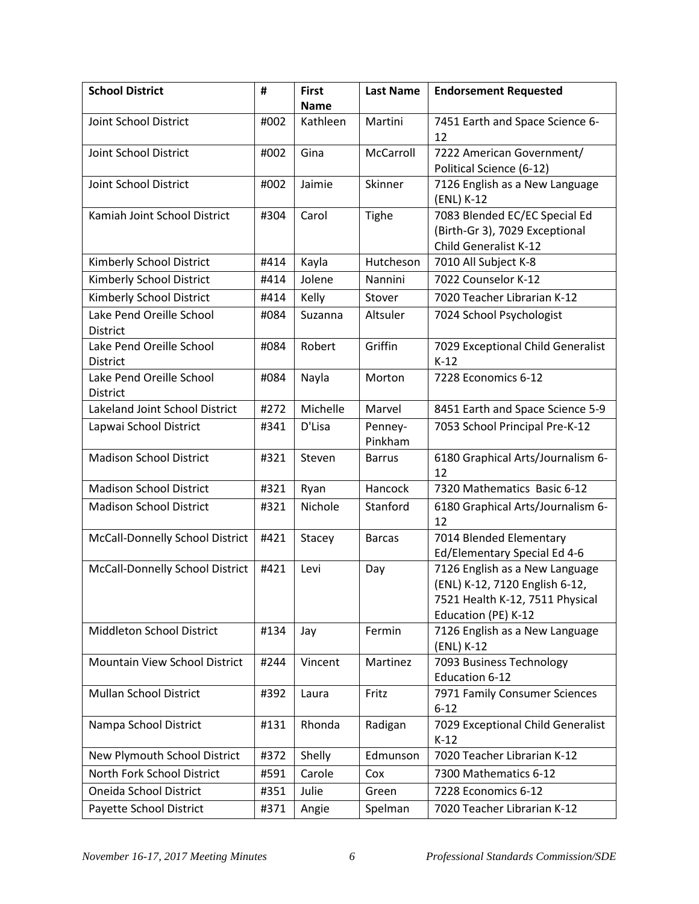| <b>School District</b>                      | #    | <b>First</b> | <b>Last Name</b>   | <b>Endorsement Requested</b>                                                                                               |
|---------------------------------------------|------|--------------|--------------------|----------------------------------------------------------------------------------------------------------------------------|
|                                             |      | <b>Name</b>  |                    |                                                                                                                            |
| Joint School District                       | #002 | Kathleen     | Martini            | 7451 Earth and Space Science 6-<br>12                                                                                      |
| Joint School District                       | #002 | Gina         | McCarroll          | 7222 American Government/                                                                                                  |
|                                             |      |              |                    | Political Science (6-12)                                                                                                   |
| Joint School District                       | #002 | Jaimie       | Skinner            | 7126 English as a New Language<br>(ENL) K-12                                                                               |
| Kamiah Joint School District                | #304 | Carol        | <b>Tighe</b>       | 7083 Blended EC/EC Special Ed<br>(Birth-Gr 3), 7029 Exceptional<br>Child Generalist K-12                                   |
| Kimberly School District                    | #414 | Kayla        | Hutcheson          | 7010 All Subject K-8                                                                                                       |
| Kimberly School District                    | #414 | Jolene       | Nannini            | 7022 Counselor K-12                                                                                                        |
| Kimberly School District                    | #414 | Kelly        | Stover             | 7020 Teacher Librarian K-12                                                                                                |
| Lake Pend Oreille School<br><b>District</b> | #084 | Suzanna      | Altsuler           | 7024 School Psychologist                                                                                                   |
| Lake Pend Oreille School<br>District        | #084 | Robert       | Griffin            | 7029 Exceptional Child Generalist<br>$K-12$                                                                                |
| Lake Pend Oreille School<br><b>District</b> | #084 | Nayla        | Morton             | 7228 Economics 6-12                                                                                                        |
| Lakeland Joint School District              | #272 | Michelle     | Marvel             | 8451 Earth and Space Science 5-9                                                                                           |
| Lapwai School District                      | #341 | D'Lisa       | Penney-<br>Pinkham | 7053 School Principal Pre-K-12                                                                                             |
| <b>Madison School District</b>              | #321 | Steven       | <b>Barrus</b>      | 6180 Graphical Arts/Journalism 6-<br>12                                                                                    |
| <b>Madison School District</b>              | #321 | Ryan         | Hancock            | 7320 Mathematics Basic 6-12                                                                                                |
| <b>Madison School District</b>              | #321 | Nichole      | Stanford           | 6180 Graphical Arts/Journalism 6-<br>12                                                                                    |
| McCall-Donnelly School District             | #421 | Stacey       | <b>Barcas</b>      | 7014 Blended Elementary<br>Ed/Elementary Special Ed 4-6                                                                    |
| McCall-Donnelly School District             | #421 | Levi         | Day                | 7126 English as a New Language<br>(ENL) K-12, 7120 English 6-12,<br>7521 Health K-12, 7511 Physical<br>Education (PE) K-12 |
| Middleton School District                   | #134 | Jay          | Fermin             | 7126 English as a New Language<br>(ENL) K-12                                                                               |
| Mountain View School District               | #244 | Vincent      | Martinez           | 7093 Business Technology<br>Education 6-12                                                                                 |
| <b>Mullan School District</b>               | #392 | Laura        | Fritz              | 7971 Family Consumer Sciences<br>$6 - 12$                                                                                  |
| Nampa School District                       | #131 | Rhonda       | Radigan            | 7029 Exceptional Child Generalist<br>$K-12$                                                                                |
| New Plymouth School District                | #372 | Shelly       | Edmunson           | 7020 Teacher Librarian K-12                                                                                                |
| North Fork School District                  | #591 | Carole       | Cox                | 7300 Mathematics 6-12                                                                                                      |
| Oneida School District                      | #351 | Julie        | Green              | 7228 Economics 6-12                                                                                                        |
| Payette School District                     | #371 | Angie        | Spelman            | 7020 Teacher Librarian K-12                                                                                                |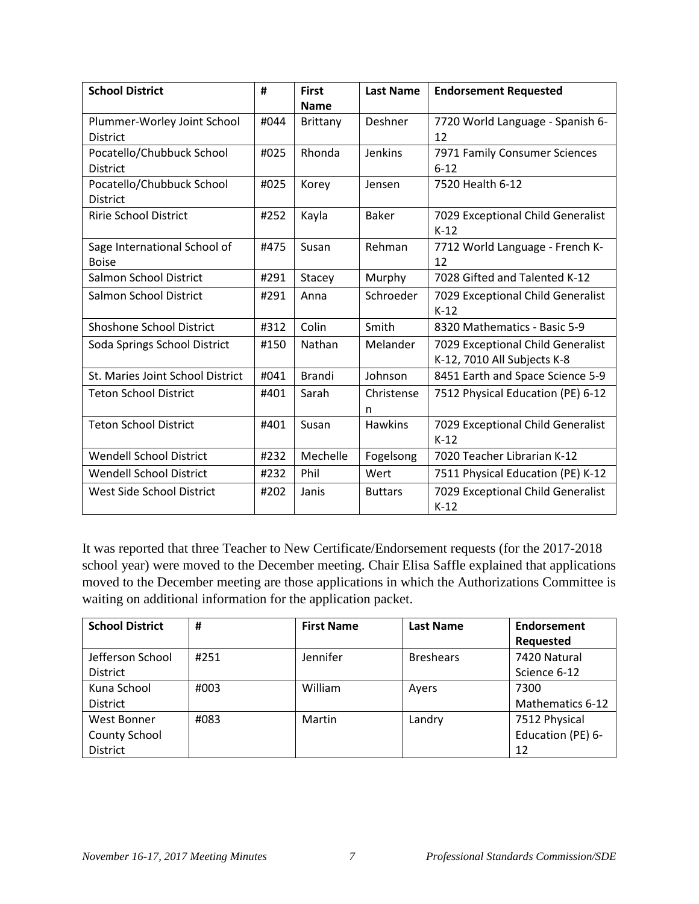| <b>School District</b>           | #    | <b>First</b><br><b>Name</b> | <b>Last Name</b> | <b>Endorsement Requested</b>      |
|----------------------------------|------|-----------------------------|------------------|-----------------------------------|
|                                  | #044 |                             |                  |                                   |
| Plummer-Worley Joint School      |      | Brittany                    | Deshner          | 7720 World Language - Spanish 6-  |
| <b>District</b>                  |      |                             |                  | 12                                |
| Pocatello/Chubbuck School        | #025 | Rhonda                      | <b>Jenkins</b>   | 7971 Family Consumer Sciences     |
| <b>District</b>                  |      |                             |                  | $6 - 12$                          |
| Pocatello/Chubbuck School        | #025 | Korey                       | Jensen           | 7520 Health 6-12                  |
| <b>District</b>                  |      |                             |                  |                                   |
| <b>Ririe School District</b>     | #252 | Kayla                       | <b>Baker</b>     | 7029 Exceptional Child Generalist |
|                                  |      |                             |                  | $K-12$                            |
| Sage International School of     | #475 | Susan                       | Rehman           | 7712 World Language - French K-   |
| <b>Boise</b>                     |      |                             |                  | 12                                |
| Salmon School District           | #291 | Stacey                      | Murphy           | 7028 Gifted and Talented K-12     |
| Salmon School District           | #291 | Anna                        | Schroeder        | 7029 Exceptional Child Generalist |
|                                  |      |                             |                  | $K-12$                            |
| <b>Shoshone School District</b>  | #312 | Colin                       | Smith            | 8320 Mathematics - Basic 5-9      |
| Soda Springs School District     | #150 | Nathan                      | Melander         | 7029 Exceptional Child Generalist |
|                                  |      |                             |                  | K-12, 7010 All Subjects K-8       |
| St. Maries Joint School District | #041 | <b>Brandi</b>               | Johnson          | 8451 Earth and Space Science 5-9  |
| <b>Teton School District</b>     | #401 | Sarah                       | Christense       | 7512 Physical Education (PE) 6-12 |
|                                  |      |                             | n                |                                   |
| <b>Teton School District</b>     | #401 | Susan                       | <b>Hawkins</b>   | 7029 Exceptional Child Generalist |
|                                  |      |                             |                  | $K-12$                            |
| <b>Wendell School District</b>   | #232 | Mechelle                    | Fogelsong        | 7020 Teacher Librarian K-12       |
| <b>Wendell School District</b>   | #232 | Phil                        | Wert             | 7511 Physical Education (PE) K-12 |
| West Side School District        | #202 | Janis                       | <b>Buttars</b>   | 7029 Exceptional Child Generalist |
|                                  |      |                             |                  | $K-12$                            |

It was reported that three Teacher to New Certificate/Endorsement requests (for the 2017-2018 school year) were moved to the December meeting. Chair Elisa Saffle explained that applications moved to the December meeting are those applications in which the Authorizations Committee is waiting on additional information for the application packet.

| <b>School District</b>                                 | #    | <b>First Name</b> | Last Name        | Endorsement<br>Requested                 |
|--------------------------------------------------------|------|-------------------|------------------|------------------------------------------|
| Jefferson School<br><b>District</b>                    | #251 | Jennifer          | <b>Breshears</b> | 7420 Natural<br>Science 6-12             |
| Kuna School<br><b>District</b>                         | #003 | William           | Ayers            | 7300<br>Mathematics 6-12                 |
| West Bonner<br><b>County School</b><br><b>District</b> | #083 | Martin            | Landry           | 7512 Physical<br>Education (PE) 6-<br>12 |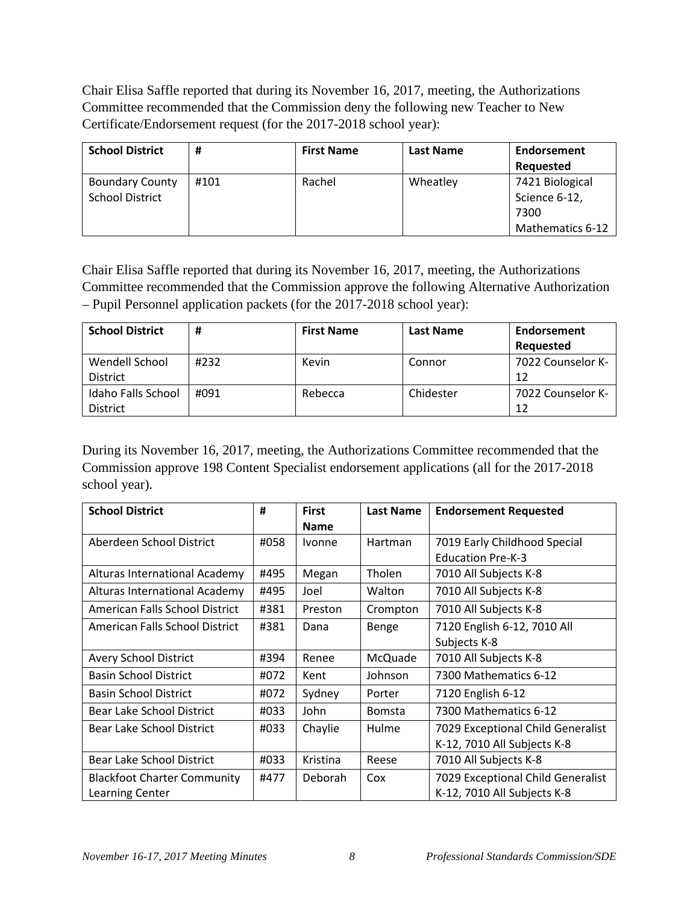Chair Elisa Saffle reported that during its November 16, 2017, meeting, the Authorizations Committee recommended that the Commission deny the following new Teacher to New Certificate/Endorsement request (for the 2017-2018 school year):

| <b>School District</b>                           | #    | <b>First Name</b> | <b>Last Name</b> | Endorsement<br>Requested                                     |
|--------------------------------------------------|------|-------------------|------------------|--------------------------------------------------------------|
| <b>Boundary County</b><br><b>School District</b> | #101 | Rachel            | Wheatley         | 7421 Biological<br>Science 6-12,<br>7300<br>Mathematics 6-12 |

Chair Elisa Saffle reported that during its November 16, 2017, meeting, the Authorizations Committee recommended that the Commission approve the following Alternative Authorization – Pupil Personnel application packets (for the 2017-2018 school year):

| <b>School District</b> | #    | <b>First Name</b> | <b>Last Name</b> | Endorsement       |
|------------------------|------|-------------------|------------------|-------------------|
|                        |      |                   |                  | <b>Requested</b>  |
| Wendell School         | #232 | Kevin             | Connor           | 7022 Counselor K- |
| <b>District</b>        |      |                   |                  | 12                |
| Idaho Falls School     | #091 | Rebecca           | Chidester        | 7022 Counselor K- |
| <b>District</b>        |      |                   |                  | 12                |

During its November 16, 2017, meeting, the Authorizations Committee recommended that the Commission approve 198 Content Specialist endorsement applications (all for the 2017-2018 school year).

| <b>School District</b>             | #    | <b>First</b><br><b>Name</b> | <b>Last Name</b> | <b>Endorsement Requested</b>      |
|------------------------------------|------|-----------------------------|------------------|-----------------------------------|
| Aberdeen School District           | #058 | <b>Ivonne</b>               | <b>Hartman</b>   | 7019 Early Childhood Special      |
|                                    |      |                             |                  | <b>Education Pre-K-3</b>          |
| Alturas International Academy      | #495 | Megan                       | Tholen           | 7010 All Subjects K-8             |
| Alturas International Academy      | #495 | Joel                        | Walton           | 7010 All Subjects K-8             |
| American Falls School District     | #381 | Preston                     | Crompton         | 7010 All Subjects K-8             |
| American Falls School District     | #381 | Dana                        | Benge            | 7120 English 6-12, 7010 All       |
|                                    |      |                             |                  | Subjects K-8                      |
| <b>Avery School District</b>       | #394 | Renee                       | McQuade          | 7010 All Subjects K-8             |
| <b>Basin School District</b>       | #072 | Kent                        | Johnson          | 7300 Mathematics 6-12             |
| <b>Basin School District</b>       | #072 | Sydney                      | Porter           | 7120 English 6-12                 |
| Bear Lake School District          | #033 | John                        | <b>Bomsta</b>    | 7300 Mathematics 6-12             |
| <b>Bear Lake School District</b>   | #033 | Chaylie                     | Hulme            | 7029 Exceptional Child Generalist |
|                                    |      |                             |                  | K-12, 7010 All Subjects K-8       |
| <b>Bear Lake School District</b>   | #033 | Kristina                    | Reese            | 7010 All Subjects K-8             |
| <b>Blackfoot Charter Community</b> | #477 | Deborah                     | Cox              | 7029 Exceptional Child Generalist |
| Learning Center                    |      |                             |                  | K-12, 7010 All Subjects K-8       |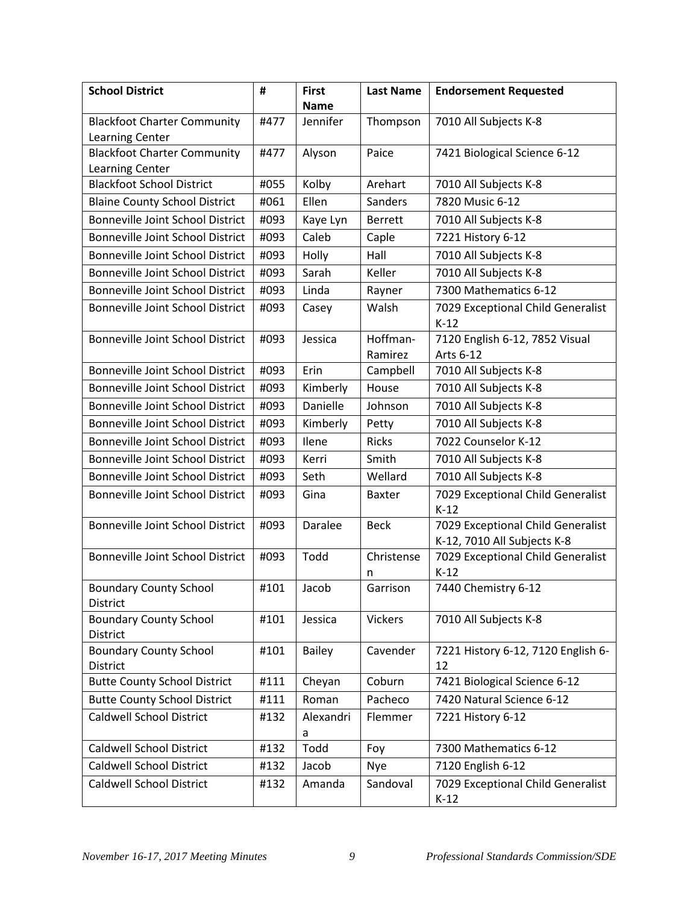| <b>School District</b>                              | #    | <b>First</b>   | <b>Last Name</b> | <b>Endorsement Requested</b>                |
|-----------------------------------------------------|------|----------------|------------------|---------------------------------------------|
|                                                     |      | <b>Name</b>    |                  |                                             |
| <b>Blackfoot Charter Community</b>                  | #477 | Jennifer       | Thompson         | 7010 All Subjects K-8                       |
| Learning Center                                     |      |                |                  |                                             |
| <b>Blackfoot Charter Community</b>                  | #477 | Alyson         | Paice            | 7421 Biological Science 6-12                |
| Learning Center<br><b>Blackfoot School District</b> | #055 | Kolby          | Arehart          | 7010 All Subjects K-8                       |
| <b>Blaine County School District</b>                | #061 | Ellen          | Sanders          | 7820 Music 6-12                             |
| <b>Bonneville Joint School District</b>             | #093 | Kaye Lyn       | <b>Berrett</b>   | 7010 All Subjects K-8                       |
| <b>Bonneville Joint School District</b>             | #093 | Caleb          | Caple            | 7221 History 6-12                           |
| <b>Bonneville Joint School District</b>             | #093 | Holly          | Hall             | 7010 All Subjects K-8                       |
| <b>Bonneville Joint School District</b>             | #093 | Sarah          | Keller           | 7010 All Subjects K-8                       |
| <b>Bonneville Joint School District</b>             | #093 | Linda          | Rayner           | 7300 Mathematics 6-12                       |
| <b>Bonneville Joint School District</b>             | #093 |                | Walsh            | 7029 Exceptional Child Generalist           |
|                                                     |      | Casey          |                  | $K-12$                                      |
| <b>Bonneville Joint School District</b>             | #093 | Jessica        | Hoffman-         | 7120 English 6-12, 7852 Visual              |
|                                                     |      |                | Ramirez          | Arts 6-12                                   |
| <b>Bonneville Joint School District</b>             | #093 | Erin           | Campbell         | 7010 All Subjects K-8                       |
| <b>Bonneville Joint School District</b>             | #093 | Kimberly       | House            | 7010 All Subjects K-8                       |
| Bonneville Joint School District                    | #093 | Danielle       | Johnson          | 7010 All Subjects K-8                       |
| <b>Bonneville Joint School District</b>             | #093 | Kimberly       | Petty            | 7010 All Subjects K-8                       |
| <b>Bonneville Joint School District</b>             | #093 | Ilene          | <b>Ricks</b>     | 7022 Counselor K-12                         |
| <b>Bonneville Joint School District</b>             | #093 | Kerri          | Smith            | 7010 All Subjects K-8                       |
| <b>Bonneville Joint School District</b>             | #093 | Seth           | Wellard          | 7010 All Subjects K-8                       |
| Bonneville Joint School District                    | #093 | Gina           | <b>Baxter</b>    | 7029 Exceptional Child Generalist<br>$K-12$ |
| <b>Bonneville Joint School District</b>             | #093 | Daralee        | <b>Beck</b>      | 7029 Exceptional Child Generalist           |
|                                                     |      |                |                  | K-12, 7010 All Subjects K-8                 |
| <b>Bonneville Joint School District</b>             | #093 | Todd           | Christense       | 7029 Exceptional Child Generalist           |
|                                                     |      |                | n                | $K-12$                                      |
| <b>Boundary County School</b><br>District           | #101 | Jacob          | Garrison         | 7440 Chemistry 6-12                         |
| <b>Boundary County School</b><br>District           | #101 | Jessica        | <b>Vickers</b>   | 7010 All Subjects K-8                       |
| <b>Boundary County School</b>                       | #101 | <b>Bailey</b>  | Cavender         | 7221 History 6-12, 7120 English 6-          |
| District                                            |      |                |                  | 12                                          |
| <b>Butte County School District</b>                 | #111 | Cheyan         | Coburn           | 7421 Biological Science 6-12                |
| <b>Butte County School District</b>                 | #111 | Roman          | Pacheco          | 7420 Natural Science 6-12                   |
| <b>Caldwell School District</b>                     | #132 | Alexandri<br>a | Flemmer          | 7221 History 6-12                           |
| <b>Caldwell School District</b>                     | #132 | Todd           | Foy              | 7300 Mathematics 6-12                       |
| <b>Caldwell School District</b>                     | #132 | Jacob          | <b>Nye</b>       | 7120 English 6-12                           |
| <b>Caldwell School District</b>                     | #132 | Amanda         | Sandoval         | 7029 Exceptional Child Generalist<br>$K-12$ |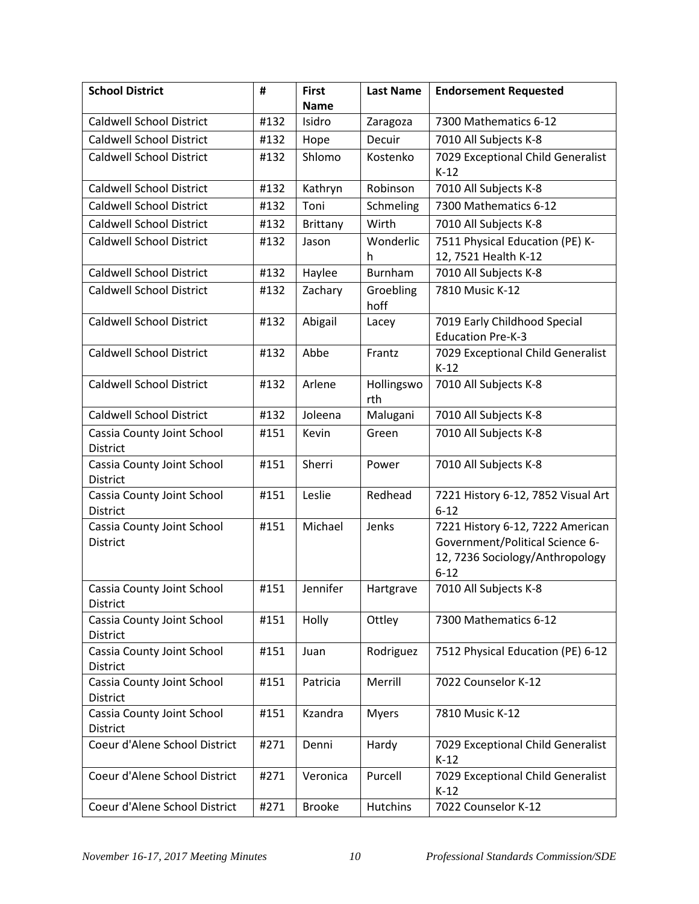| <b>School District</b>                        | #    | <b>First</b>  | <b>Last Name</b>  | <b>Endorsement Requested</b>                             |
|-----------------------------------------------|------|---------------|-------------------|----------------------------------------------------------|
|                                               |      | <b>Name</b>   |                   | 7300 Mathematics 6-12                                    |
| <b>Caldwell School District</b>               | #132 | Isidro        | Zaragoza          |                                                          |
| <b>Caldwell School District</b>               | #132 | Hope          | Decuir            | 7010 All Subjects K-8                                    |
| <b>Caldwell School District</b>               | #132 | Shlomo        | Kostenko          | 7029 Exceptional Child Generalist<br>$K-12$              |
| <b>Caldwell School District</b>               | #132 | Kathryn       | Robinson          | 7010 All Subjects K-8                                    |
| <b>Caldwell School District</b>               | #132 | Toni          | Schmeling         | 7300 Mathematics 6-12                                    |
| <b>Caldwell School District</b>               | #132 | Brittany      | Wirth             | 7010 All Subjects K-8                                    |
| <b>Caldwell School District</b>               | #132 | Jason         | Wonderlic<br>h.   | 7511 Physical Education (PE) K-<br>12, 7521 Health K-12  |
| <b>Caldwell School District</b>               | #132 | Haylee        | Burnham           | 7010 All Subjects K-8                                    |
| <b>Caldwell School District</b>               | #132 | Zachary       | Groebling<br>hoff | 7810 Music K-12                                          |
| <b>Caldwell School District</b>               | #132 | Abigail       | Lacey             | 7019 Early Childhood Special<br><b>Education Pre-K-3</b> |
| <b>Caldwell School District</b>               | #132 | Abbe          | Frantz            | 7029 Exceptional Child Generalist<br>$K-12$              |
| <b>Caldwell School District</b>               | #132 | Arlene        | Hollingswo<br>rth | 7010 All Subjects K-8                                    |
| <b>Caldwell School District</b>               | #132 | Joleena       | Malugani          | 7010 All Subjects K-8                                    |
| Cassia County Joint School<br>District        | #151 | Kevin         | Green             | 7010 All Subjects K-8                                    |
| Cassia County Joint School<br><b>District</b> | #151 | Sherri        | Power             | 7010 All Subjects K-8                                    |
| Cassia County Joint School<br>District        | #151 | Leslie        | Redhead           | 7221 History 6-12, 7852 Visual Art<br>$6 - 12$           |
| Cassia County Joint School                    | #151 | Michael       | Jenks             | 7221 History 6-12, 7222 American                         |
| District                                      |      |               |                   | Government/Political Science 6-                          |
|                                               |      |               |                   | 12, 7236 Sociology/Anthropology<br>$6 - 12$              |
| Cassia County Joint School<br>District        | #151 | Jennifer      | Hartgrave         | 7010 All Subjects K-8                                    |
| Cassia County Joint School<br>District        | #151 | Holly         | Ottley            | 7300 Mathematics 6-12                                    |
| Cassia County Joint School<br>District        | #151 | Juan          | Rodriguez         | 7512 Physical Education (PE) 6-12                        |
| Cassia County Joint School<br>District        | #151 | Patricia      | Merrill           | 7022 Counselor K-12                                      |
| Cassia County Joint School<br>District        | #151 | Kzandra       | <b>Myers</b>      | 7810 Music K-12                                          |
| Coeur d'Alene School District                 | #271 | Denni         | Hardy             | 7029 Exceptional Child Generalist<br>$K-12$              |
| Coeur d'Alene School District                 | #271 | Veronica      | Purcell           | 7029 Exceptional Child Generalist<br>$K-12$              |
| Coeur d'Alene School District                 | #271 | <b>Brooke</b> | <b>Hutchins</b>   | 7022 Counselor K-12                                      |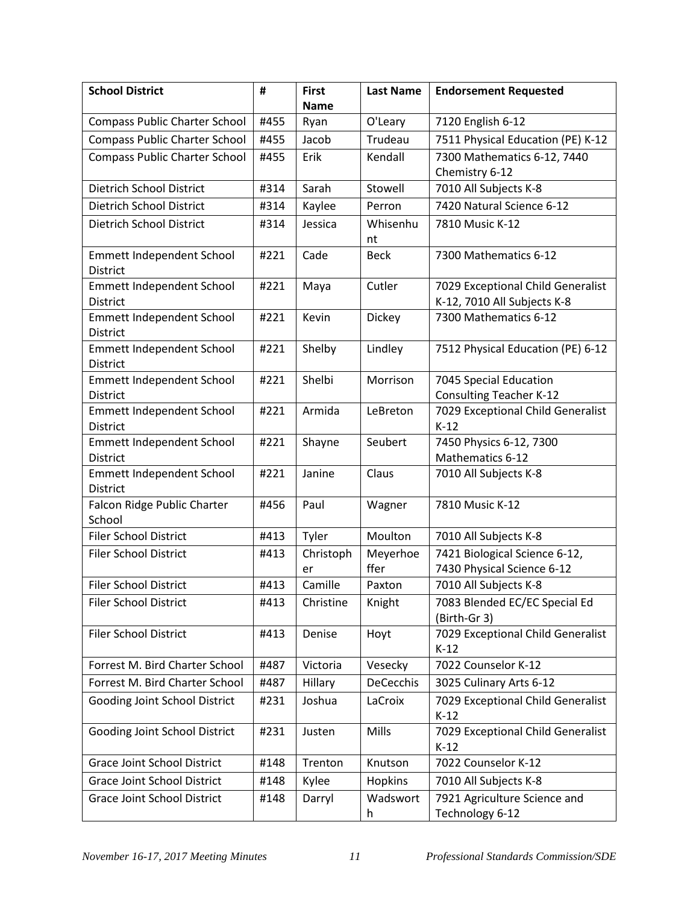| <b>School District</b>                              | #    | <b>First</b> | <b>Last Name</b> | <b>Endorsement Requested</b>                |
|-----------------------------------------------------|------|--------------|------------------|---------------------------------------------|
|                                                     |      | <b>Name</b>  |                  |                                             |
| <b>Compass Public Charter School</b>                | #455 | Ryan         | O'Leary          | 7120 English 6-12                           |
| <b>Compass Public Charter School</b>                | #455 | Jacob        | Trudeau          | 7511 Physical Education (PE) K-12           |
| <b>Compass Public Charter School</b>                | #455 | Erik         | Kendall          | 7300 Mathematics 6-12, 7440                 |
|                                                     |      |              |                  | Chemistry 6-12                              |
| Dietrich School District                            | #314 | Sarah        | Stowell          | 7010 All Subjects K-8                       |
| <b>Dietrich School District</b>                     | #314 | Kaylee       | Perron           | 7420 Natural Science 6-12                   |
| Dietrich School District                            | #314 | Jessica      | Whisenhu         | 7810 Music K-12                             |
|                                                     |      |              | nt               |                                             |
| <b>Emmett Independent School</b>                    | #221 | Cade         | <b>Beck</b>      | 7300 Mathematics 6-12                       |
| <b>District</b><br><b>Emmett Independent School</b> | #221 | Maya         | Cutler           | 7029 Exceptional Child Generalist           |
| <b>District</b>                                     |      |              |                  | K-12, 7010 All Subjects K-8                 |
| <b>Emmett Independent School</b>                    | #221 | Kevin        | Dickey           | 7300 Mathematics 6-12                       |
| <b>District</b>                                     |      |              |                  |                                             |
| <b>Emmett Independent School</b>                    | #221 | Shelby       | Lindley          | 7512 Physical Education (PE) 6-12           |
| District                                            |      |              |                  |                                             |
| <b>Emmett Independent School</b>                    | #221 | Shelbi       | Morrison         | 7045 Special Education                      |
| <b>District</b>                                     |      |              |                  | <b>Consulting Teacher K-12</b>              |
| <b>Emmett Independent School</b>                    | #221 | Armida       | LeBreton         | 7029 Exceptional Child Generalist           |
| <b>District</b>                                     |      |              |                  | $K-12$                                      |
| <b>Emmett Independent School</b>                    | #221 | Shayne       | Seubert          | 7450 Physics 6-12, 7300                     |
| <b>District</b>                                     | #221 | Janine       | Claus            | Mathematics 6-12                            |
| <b>Emmett Independent School</b><br>District        |      |              |                  | 7010 All Subjects K-8                       |
| Falcon Ridge Public Charter                         | #456 | Paul         | Wagner           | 7810 Music K-12                             |
| School                                              |      |              |                  |                                             |
| <b>Filer School District</b>                        | #413 | Tyler        | Moulton          | 7010 All Subjects K-8                       |
| <b>Filer School District</b>                        | #413 | Christoph    | Meyerhoe         | 7421 Biological Science 6-12,               |
|                                                     |      | er           | ffer             | 7430 Physical Science 6-12                  |
| <b>Filer School District</b>                        | #413 | Camille      | Paxton           | 7010 All Subjects K-8                       |
| Filer School District                               | #413 | Christine    | Knight           | 7083 Blended EC/EC Special Ed               |
|                                                     |      |              |                  | (Birth-Gr 3)                                |
| <b>Filer School District</b>                        | #413 | Denise       | Hoyt             | 7029 Exceptional Child Generalist           |
|                                                     |      |              |                  | $K-12$                                      |
| Forrest M. Bird Charter School                      | #487 | Victoria     | Vesecky          | 7022 Counselor K-12                         |
| Forrest M. Bird Charter School                      | #487 | Hillary      | DeCecchis        | 3025 Culinary Arts 6-12                     |
| Gooding Joint School District                       | #231 | Joshua       | LaCroix          | 7029 Exceptional Child Generalist           |
|                                                     | #231 |              | Mills            | $K-12$<br>7029 Exceptional Child Generalist |
| Gooding Joint School District                       |      | Justen       |                  | $K-12$                                      |
| Grace Joint School District                         | #148 | Trenton      | Knutson          | 7022 Counselor K-12                         |
| <b>Grace Joint School District</b>                  | #148 | Kylee        | Hopkins          | 7010 All Subjects K-8                       |
| Grace Joint School District                         | #148 | Darryl       | Wadswort         | 7921 Agriculture Science and                |
|                                                     |      |              | h                | Technology 6-12                             |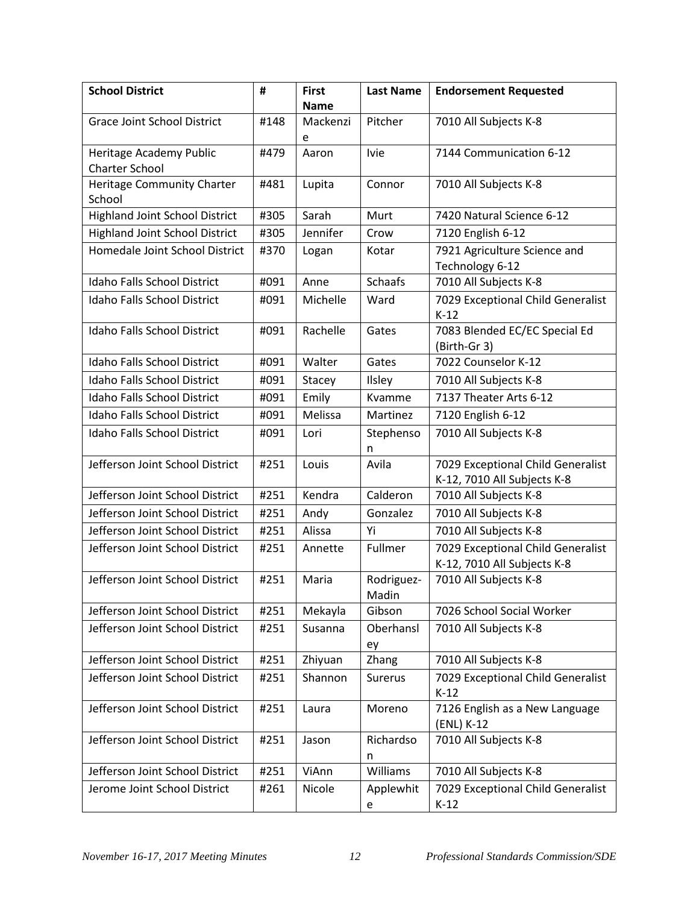| <b>School District</b>                           | #    | <b>First</b><br><b>Name</b> | <b>Last Name</b>    | <b>Endorsement Requested</b>                                     |
|--------------------------------------------------|------|-----------------------------|---------------------|------------------------------------------------------------------|
| <b>Grace Joint School District</b>               | #148 | Mackenzi                    | Pitcher             | 7010 All Subjects K-8                                            |
|                                                  |      | e                           |                     |                                                                  |
| Heritage Academy Public<br><b>Charter School</b> | #479 | Aaron                       | <b>Ivie</b>         | 7144 Communication 6-12                                          |
| Heritage Community Charter<br>School             | #481 | Lupita                      | Connor              | 7010 All Subjects K-8                                            |
| <b>Highland Joint School District</b>            | #305 | Sarah                       | Murt                | 7420 Natural Science 6-12                                        |
| <b>Highland Joint School District</b>            | #305 | Jennifer                    | Crow                | 7120 English 6-12                                                |
| Homedale Joint School District                   | #370 | Logan                       | Kotar               | 7921 Agriculture Science and<br>Technology 6-12                  |
| <b>Idaho Falls School District</b>               | #091 | Anne                        | <b>Schaafs</b>      | 7010 All Subjects K-8                                            |
| Idaho Falls School District                      | #091 | Michelle                    | Ward                | 7029 Exceptional Child Generalist<br>$K-12$                      |
| <b>Idaho Falls School District</b>               | #091 | Rachelle                    | Gates               | 7083 Blended EC/EC Special Ed<br>(Birth-Gr 3)                    |
| <b>Idaho Falls School District</b>               | #091 | Walter                      | Gates               | 7022 Counselor K-12                                              |
| Idaho Falls School District                      | #091 | Stacey                      | Ilsley              | 7010 All Subjects K-8                                            |
| Idaho Falls School District                      | #091 | Emily                       | Kvamme              | 7137 Theater Arts 6-12                                           |
| Idaho Falls School District                      | #091 | Melissa                     | Martinez            | 7120 English 6-12                                                |
| <b>Idaho Falls School District</b>               | #091 | Lori                        | Stephenso<br>n      | 7010 All Subjects K-8                                            |
| Jefferson Joint School District                  | #251 | Louis                       | Avila               | 7029 Exceptional Child Generalist<br>K-12, 7010 All Subjects K-8 |
| Jefferson Joint School District                  | #251 | Kendra                      | Calderon            | 7010 All Subjects K-8                                            |
| Jefferson Joint School District                  | #251 | Andy                        | Gonzalez            | 7010 All Subjects K-8                                            |
| Jefferson Joint School District                  | #251 | Alissa                      | Yi                  | 7010 All Subjects K-8                                            |
| Jefferson Joint School District                  | #251 | Annette                     | Fullmer             | 7029 Exceptional Child Generalist<br>K-12, 7010 All Subjects K-8 |
| Jefferson Joint School District                  | #251 | Maria                       | Rodriguez-<br>Madin | 7010 All Subjects K-8                                            |
| Jefferson Joint School District                  | #251 | Mekayla                     | Gibson              | 7026 School Social Worker                                        |
| Jefferson Joint School District                  | #251 | Susanna                     | Oberhansl<br>ey     | 7010 All Subjects K-8                                            |
| Jefferson Joint School District                  | #251 | Zhiyuan                     | Zhang               | 7010 All Subjects K-8                                            |
| Jefferson Joint School District                  | #251 | Shannon                     | Surerus             | 7029 Exceptional Child Generalist<br>$K-12$                      |
| Jefferson Joint School District                  | #251 | Laura                       | Moreno              | 7126 English as a New Language<br>(ENL) K-12                     |
| Jefferson Joint School District                  | #251 | Jason                       | Richardso<br>n      | 7010 All Subjects K-8                                            |
| Jefferson Joint School District                  | #251 | ViAnn                       | Williams            | 7010 All Subjects K-8                                            |
| Jerome Joint School District                     | #261 | Nicole                      | Applewhit<br>e      | 7029 Exceptional Child Generalist<br>$K-12$                      |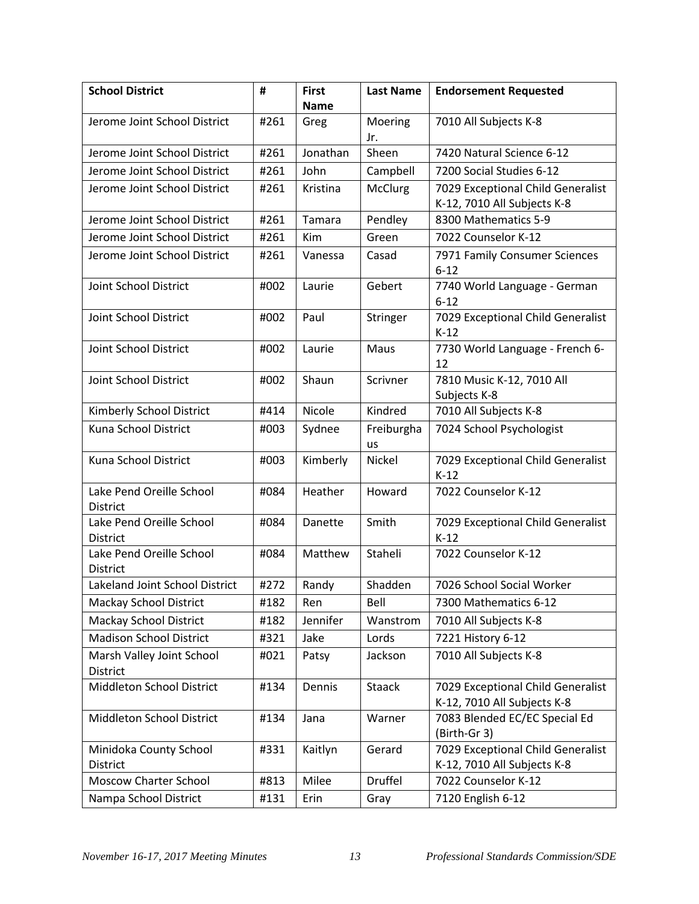| <b>School District</b>                      | #    | <b>First</b> | <b>Last Name</b> | <b>Endorsement Requested</b>                                     |  |
|---------------------------------------------|------|--------------|------------------|------------------------------------------------------------------|--|
|                                             |      | <b>Name</b>  |                  |                                                                  |  |
| Jerome Joint School District                | #261 | Greg         | Moering<br>Jr.   | 7010 All Subjects K-8                                            |  |
| Jerome Joint School District                | #261 | Jonathan     | Sheen            | 7420 Natural Science 6-12                                        |  |
| Jerome Joint School District                | #261 | John         | Campbell         | 7200 Social Studies 6-12                                         |  |
| Jerome Joint School District                | #261 | Kristina     | McClurg          | 7029 Exceptional Child Generalist<br>K-12, 7010 All Subjects K-8 |  |
| Jerome Joint School District                | #261 | Tamara       | Pendley          | 8300 Mathematics 5-9                                             |  |
| Jerome Joint School District                | #261 | Kim          | Green            | 7022 Counselor K-12                                              |  |
| Jerome Joint School District                | #261 | Vanessa      | Casad            | 7971 Family Consumer Sciences<br>$6 - 12$                        |  |
| Joint School District                       | #002 | Laurie       | Gebert           | 7740 World Language - German<br>$6 - 12$                         |  |
| Joint School District                       | #002 | Paul         | Stringer         | 7029 Exceptional Child Generalist<br>$K-12$                      |  |
| Joint School District                       | #002 | Laurie       | Maus             | 7730 World Language - French 6-<br>12                            |  |
| Joint School District                       | #002 | Shaun        | Scrivner         | 7810 Music K-12, 7010 All<br>Subjects K-8                        |  |
| Kimberly School District                    | #414 | Nicole       | Kindred          | 7010 All Subjects K-8                                            |  |
| Kuna School District                        | #003 | Sydnee       | Freiburgha<br>us | 7024 School Psychologist                                         |  |
| Kuna School District                        | #003 | Kimberly     | Nickel           | 7029 Exceptional Child Generalist<br>$K-12$                      |  |
| Lake Pend Oreille School<br><b>District</b> | #084 | Heather      | Howard           | 7022 Counselor K-12                                              |  |
| Lake Pend Oreille School<br><b>District</b> | #084 | Danette      | Smith            | 7029 Exceptional Child Generalist<br>$K-12$                      |  |
| Lake Pend Oreille School<br>District        | #084 | Matthew      | Staheli          | 7022 Counselor K-12                                              |  |
| Lakeland Joint School District              | #272 | Randy        | Shadden          | 7026 School Social Worker                                        |  |
| <b>Mackay School District</b>               | #182 | Ren          | Bell             | 7300 Mathematics 6-12                                            |  |
| <b>Mackay School District</b>               | #182 | Jennifer     | Wanstrom         | 7010 All Subjects K-8                                            |  |
| <b>Madison School District</b>              | #321 | Jake         | Lords            | 7221 History 6-12                                                |  |
| Marsh Valley Joint School<br>District       | #021 | Patsy        | Jackson          | 7010 All Subjects K-8                                            |  |
| Middleton School District                   | #134 | Dennis       | <b>Staack</b>    | 7029 Exceptional Child Generalist<br>K-12, 7010 All Subjects K-8 |  |
| Middleton School District                   | #134 | Jana         | Warner           | 7083 Blended EC/EC Special Ed<br>(Birth-Gr 3)                    |  |
| Minidoka County School<br><b>District</b>   | #331 | Kaitlyn      | Gerard           | 7029 Exceptional Child Generalist<br>K-12, 7010 All Subjects K-8 |  |
| <b>Moscow Charter School</b>                | #813 | Milee        | <b>Druffel</b>   | 7022 Counselor K-12                                              |  |
| Nampa School District                       | #131 | Erin         | Gray             | 7120 English 6-12                                                |  |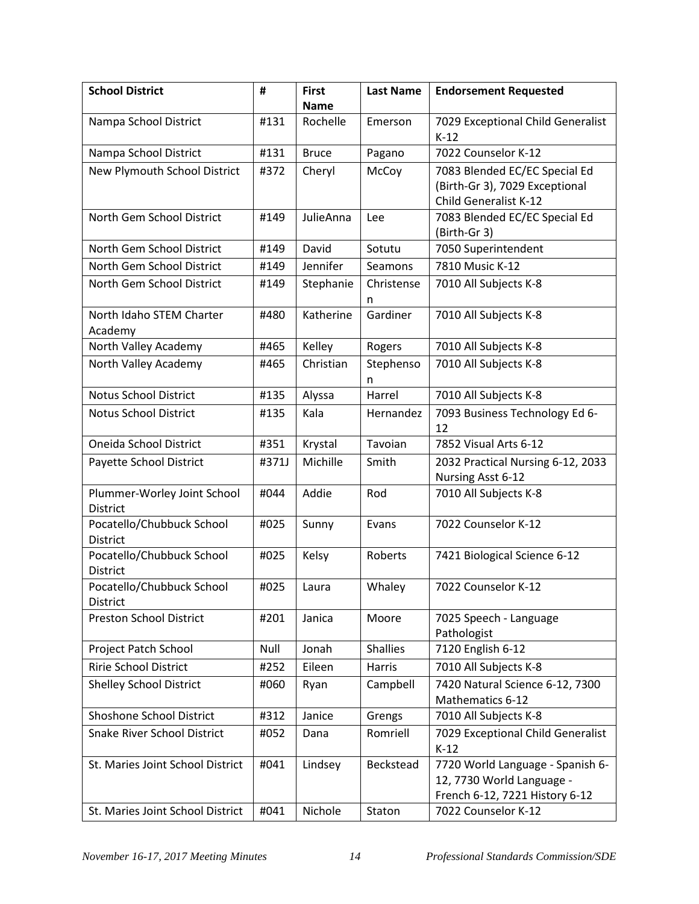| <b>School District</b>                         | #     | <b>First</b> | <b>Last Name</b> | <b>Endorsement Requested</b>                                                                    |
|------------------------------------------------|-------|--------------|------------------|-------------------------------------------------------------------------------------------------|
|                                                |       | <b>Name</b>  |                  |                                                                                                 |
| Nampa School District                          | #131  | Rochelle     | Emerson          | 7029 Exceptional Child Generalist<br>$K-12$                                                     |
| Nampa School District                          | #131  | <b>Bruce</b> | Pagano           | 7022 Counselor K-12                                                                             |
| New Plymouth School District                   | #372  | Cheryl       | McCoy            | 7083 Blended EC/EC Special Ed                                                                   |
|                                                |       |              |                  | (Birth-Gr 3), 7029 Exceptional                                                                  |
|                                                |       |              |                  | Child Generalist K-12                                                                           |
| North Gem School District                      | #149  | JulieAnna    | Lee              | 7083 Blended EC/EC Special Ed<br>(Birth-Gr 3)                                                   |
| North Gem School District                      | #149  | David        | Sotutu           | 7050 Superintendent                                                                             |
| North Gem School District                      | #149  | Jennifer     | Seamons          | 7810 Music K-12                                                                                 |
| North Gem School District                      | #149  | Stephanie    | Christense<br>n  | 7010 All Subjects K-8                                                                           |
| North Idaho STEM Charter<br>Academy            | #480  | Katherine    | Gardiner         | 7010 All Subjects K-8                                                                           |
| North Valley Academy                           | #465  | Kelley       | Rogers           | 7010 All Subjects K-8                                                                           |
| North Valley Academy                           | #465  | Christian    | Stephenso<br>n   | 7010 All Subjects K-8                                                                           |
| Notus School District                          | #135  | Alyssa       | Harrel           | 7010 All Subjects K-8                                                                           |
| <b>Notus School District</b>                   | #135  | Kala         | Hernandez        | 7093 Business Technology Ed 6-<br>12                                                            |
| Oneida School District                         | #351  | Krystal      | Tavoian          | 7852 Visual Arts 6-12                                                                           |
| Payette School District                        | #371J | Michille     | Smith            | 2032 Practical Nursing 6-12, 2033<br>Nursing Asst 6-12                                          |
| Plummer-Worley Joint School<br><b>District</b> | #044  | Addie        | Rod              | 7010 All Subjects K-8                                                                           |
| Pocatello/Chubbuck School<br><b>District</b>   | #025  | Sunny        | Evans            | 7022 Counselor K-12                                                                             |
| Pocatello/Chubbuck School<br>District          | #025  | Kelsy        | Roberts          | 7421 Biological Science 6-12                                                                    |
| Pocatello/Chubbuck School<br><b>District</b>   | #025  | Laura        | Whaley           | 7022 Counselor K-12                                                                             |
| <b>Preston School District</b>                 | #201  | Janica       | Moore            | 7025 Speech - Language<br>Pathologist                                                           |
| Project Patch School                           | Null  | Jonah        | <b>Shallies</b>  | 7120 English 6-12                                                                               |
| <b>Ririe School District</b>                   | #252  | Eileen       | Harris           | 7010 All Subjects K-8                                                                           |
| <b>Shelley School District</b>                 | #060  | Ryan         | Campbell         | 7420 Natural Science 6-12, 7300<br>Mathematics 6-12                                             |
| Shoshone School District                       | #312  | Janice       | Grengs           | 7010 All Subjects K-8                                                                           |
| <b>Snake River School District</b>             | #052  | Dana         | Romriell         | 7029 Exceptional Child Generalist<br>$K-12$                                                     |
| St. Maries Joint School District               | #041  | Lindsey      | Beckstead        | 7720 World Language - Spanish 6-<br>12, 7730 World Language -<br>French 6-12, 7221 History 6-12 |
| St. Maries Joint School District               | #041  | Nichole      | Staton           | 7022 Counselor K-12                                                                             |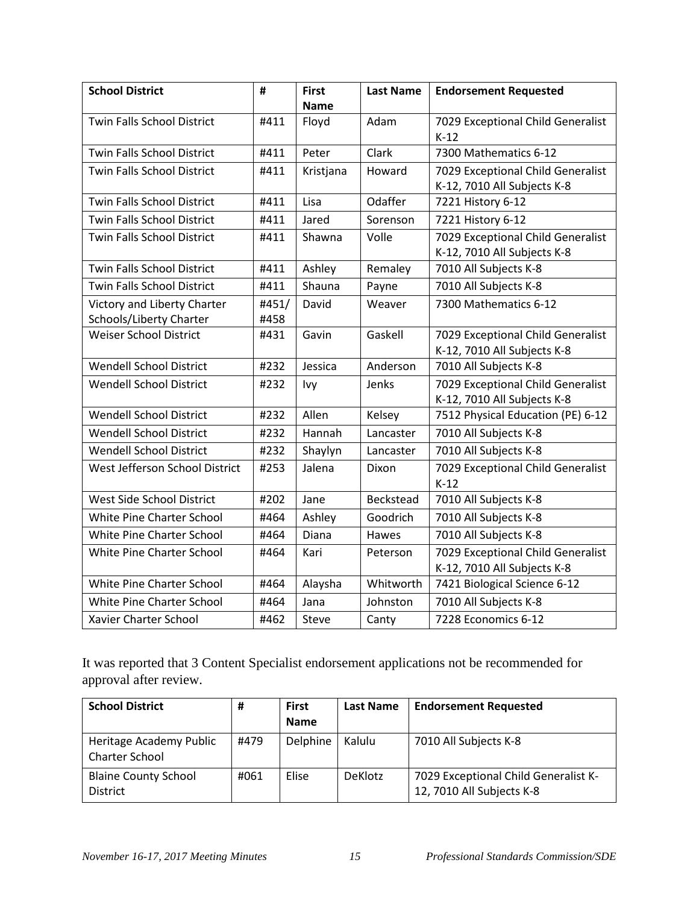| <b>School District</b>            | #     | <b>First</b> | <b>Last Name</b> | <b>Endorsement Requested</b>      |
|-----------------------------------|-------|--------------|------------------|-----------------------------------|
|                                   |       | <b>Name</b>  |                  |                                   |
| Twin Falls School District        | #411  | Floyd        | Adam             | 7029 Exceptional Child Generalist |
|                                   |       |              |                  | $K-12$                            |
| <b>Twin Falls School District</b> | #411  | Peter        | Clark            | 7300 Mathematics 6-12             |
| Twin Falls School District        | #411  | Kristjana    | Howard           | 7029 Exceptional Child Generalist |
|                                   |       |              |                  | K-12, 7010 All Subjects K-8       |
| Twin Falls School District        | #411  | Lisa         | Odaffer          | 7221 History 6-12                 |
| <b>Twin Falls School District</b> | #411  | Jared        | Sorenson         | 7221 History 6-12                 |
| <b>Twin Falls School District</b> | #411  | Shawna       | Volle            | 7029 Exceptional Child Generalist |
|                                   |       |              |                  | K-12, 7010 All Subjects K-8       |
| Twin Falls School District        | #411  | Ashley       | Remaley          | 7010 All Subjects K-8             |
| <b>Twin Falls School District</b> | #411  | Shauna       | Payne            | 7010 All Subjects K-8             |
| Victory and Liberty Charter       | #451/ | David        | Weaver           | 7300 Mathematics 6-12             |
| Schools/Liberty Charter           | #458  |              |                  |                                   |
| <b>Weiser School District</b>     | #431  | Gavin        | Gaskell          | 7029 Exceptional Child Generalist |
|                                   |       |              |                  | K-12, 7010 All Subjects K-8       |
| Wendell School District           | #232  | Jessica      | Anderson         | 7010 All Subjects K-8             |
| <b>Wendell School District</b>    | #232  | Ivy          | Jenks            | 7029 Exceptional Child Generalist |
|                                   |       |              |                  | K-12, 7010 All Subjects K-8       |
| <b>Wendell School District</b>    | #232  | Allen        | Kelsey           | 7512 Physical Education (PE) 6-12 |
| <b>Wendell School District</b>    | #232  | Hannah       | Lancaster        | 7010 All Subjects K-8             |
| <b>Wendell School District</b>    | #232  | Shaylyn      | Lancaster        | 7010 All Subjects K-8             |
| West Jefferson School District    | #253  | Jalena       | Dixon            | 7029 Exceptional Child Generalist |
|                                   |       |              |                  | $K-12$                            |
| West Side School District         | #202  | Jane         | <b>Beckstead</b> | 7010 All Subjects K-8             |
| <b>White Pine Charter School</b>  | #464  | Ashley       | Goodrich         | 7010 All Subjects K-8             |
| White Pine Charter School         | #464  | Diana        | Hawes            | 7010 All Subjects K-8             |
| White Pine Charter School         | #464  | Kari         | Peterson         | 7029 Exceptional Child Generalist |
|                                   |       |              |                  | K-12, 7010 All Subjects K-8       |
| White Pine Charter School         | #464  | Alaysha      | Whitworth        | 7421 Biological Science 6-12      |
| <b>White Pine Charter School</b>  | #464  | Jana         | Johnston         | 7010 All Subjects K-8             |
| Xavier Charter School             | #462  | Steve        | Canty            | 7228 Economics 6-12               |

It was reported that 3 Content Specialist endorsement applications not be recommended for approval after review.

| <b>School District</b>                           | #    | <b>First</b><br><b>Name</b> | <b>Last Name</b> | <b>Endorsement Requested</b>                                      |
|--------------------------------------------------|------|-----------------------------|------------------|-------------------------------------------------------------------|
| Heritage Academy Public<br><b>Charter School</b> | #479 | Delphine                    | Kalulu           | 7010 All Subjects K-8                                             |
| <b>Blaine County School</b><br><b>District</b>   | #061 | <b>Elise</b>                | <b>DeKlotz</b>   | 7029 Exceptional Child Generalist K-<br>12, 7010 All Subjects K-8 |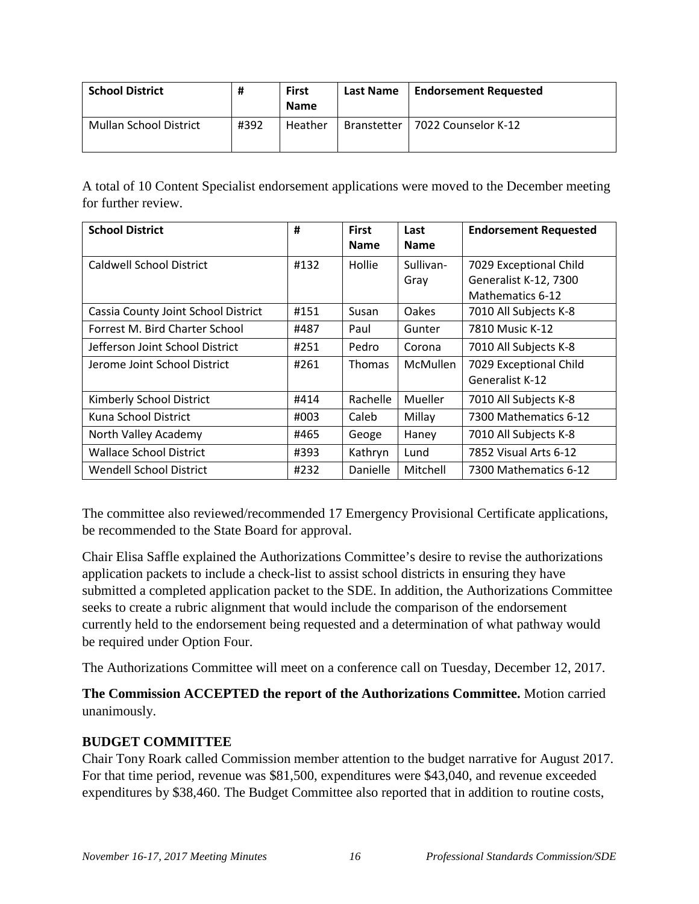| <b>School District</b>        | #    | <b>First</b><br><b>Name</b> | Last Name          | <b>Endorsement Requested</b> |
|-------------------------------|------|-----------------------------|--------------------|------------------------------|
| <b>Mullan School District</b> | #392 | Heather                     | <b>Branstetter</b> | 7022 Counselor K-12          |

A total of 10 Content Specialist endorsement applications were moved to the December meeting for further review.

| <b>School District</b>              | #    | <b>First</b><br><b>Name</b> | Last<br><b>Name</b> | <b>Endorsement Requested</b> |
|-------------------------------------|------|-----------------------------|---------------------|------------------------------|
|                                     |      |                             |                     |                              |
| Caldwell School District            | #132 | Hollie                      | Sullivan-           | 7029 Exceptional Child       |
|                                     |      |                             | Gray                | Generalist K-12, 7300        |
|                                     |      |                             |                     | Mathematics 6-12             |
| Cassia County Joint School District | #151 | Susan                       | Oakes               | 7010 All Subjects K-8        |
| Forrest M. Bird Charter School      | #487 | Paul                        | Gunter              | 7810 Music K-12              |
| Jefferson Joint School District     | #251 | Pedro                       | Corona              | 7010 All Subjects K-8        |
| Jerome Joint School District        | #261 | <b>Thomas</b>               | <b>McMullen</b>     | 7029 Exceptional Child       |
|                                     |      |                             |                     | <b>Generalist K-12</b>       |
| Kimberly School District            | #414 | Rachelle                    | Mueller             | 7010 All Subjects K-8        |
| Kuna School District                | #003 | Caleb                       | Millay              | 7300 Mathematics 6-12        |
| North Valley Academy                | #465 | Geoge                       | Haney               | 7010 All Subjects K-8        |
| <b>Wallace School District</b>      | #393 | Kathryn                     | Lund                | 7852 Visual Arts 6-12        |
| <b>Wendell School District</b>      | #232 | <b>Danielle</b>             | Mitchell            | 7300 Mathematics 6-12        |

The committee also reviewed/recommended 17 Emergency Provisional Certificate applications, be recommended to the State Board for approval.

Chair Elisa Saffle explained the Authorizations Committee's desire to revise the authorizations application packets to include a check-list to assist school districts in ensuring they have submitted a completed application packet to the SDE. In addition, the Authorizations Committee seeks to create a rubric alignment that would include the comparison of the endorsement currently held to the endorsement being requested and a determination of what pathway would be required under Option Four.

The Authorizations Committee will meet on a conference call on Tuesday, December 12, 2017.

**The Commission ACCEPTED the report of the Authorizations Committee.** Motion carried unanimously.

# **BUDGET COMMITTEE**

Chair Tony Roark called Commission member attention to the budget narrative for August 2017. For that time period, revenue was \$81,500, expenditures were \$43,040, and revenue exceeded expenditures by \$38,460. The Budget Committee also reported that in addition to routine costs,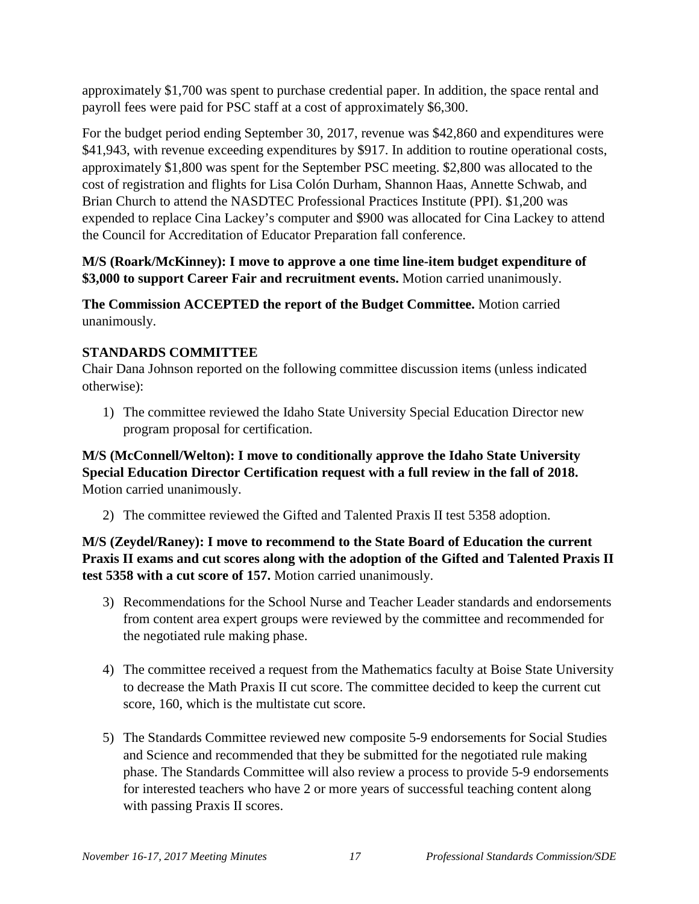approximately \$1,700 was spent to purchase credential paper. In addition, the space rental and payroll fees were paid for PSC staff at a cost of approximately \$6,300.

For the budget period ending September 30, 2017, revenue was \$42,860 and expenditures were \$41,943, with revenue exceeding expenditures by \$917. In addition to routine operational costs, approximately \$1,800 was spent for the September PSC meeting. \$2,800 was allocated to the cost of registration and flights for Lisa Colón Durham, Shannon Haas, Annette Schwab, and Brian Church to attend the NASDTEC Professional Practices Institute (PPI). \$1,200 was expended to replace Cina Lackey's computer and \$900 was allocated for Cina Lackey to attend the Council for Accreditation of Educator Preparation fall conference.

# **M/S (Roark/McKinney): I move to approve a one time line-item budget expenditure of \$3,000 to support Career Fair and recruitment events.** Motion carried unanimously.

**The Commission ACCEPTED the report of the Budget Committee.** Motion carried unanimously.

# **STANDARDS COMMITTEE**

Chair Dana Johnson reported on the following committee discussion items (unless indicated otherwise):

1) The committee reviewed the Idaho State University Special Education Director new program proposal for certification.

**M/S (McConnell/Welton): I move to conditionally approve the Idaho State University Special Education Director Certification request with a full review in the fall of 2018.**  Motion carried unanimously.

2) The committee reviewed the Gifted and Talented Praxis II test 5358 adoption.

**M/S (Zeydel/Raney): I move to recommend to the State Board of Education the current Praxis II exams and cut scores along with the adoption of the Gifted and Talented Praxis II test 5358 with a cut score of 157.** Motion carried unanimously.

- 3) Recommendations for the School Nurse and Teacher Leader standards and endorsements from content area expert groups were reviewed by the committee and recommended for the negotiated rule making phase.
- 4) The committee received a request from the Mathematics faculty at Boise State University to decrease the Math Praxis II cut score. The committee decided to keep the current cut score, 160, which is the multistate cut score.
- 5) The Standards Committee reviewed new composite 5-9 endorsements for Social Studies and Science and recommended that they be submitted for the negotiated rule making phase. The Standards Committee will also review a process to provide 5-9 endorsements for interested teachers who have 2 or more years of successful teaching content along with passing Praxis II scores.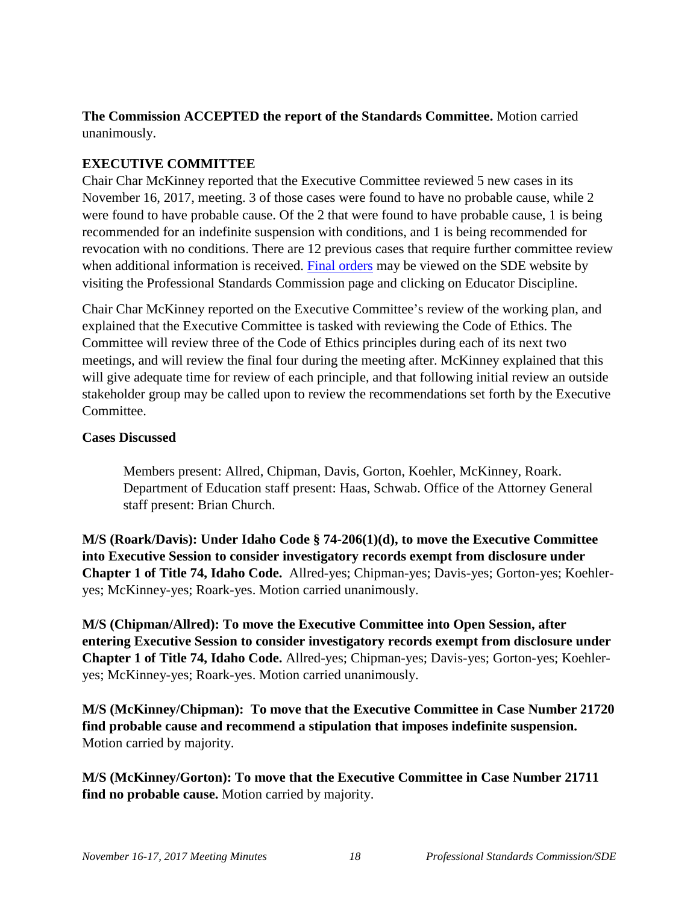**The Commission ACCEPTED the report of the Standards Committee.** Motion carried unanimously.

# **EXECUTIVE COMMITTEE**

Chair Char McKinney reported that the Executive Committee reviewed 5 new cases in its November 16, 2017, meeting. 3 of those cases were found to have no probable cause, while 2 were found to have probable cause. Of the 2 that were found to have probable cause, 1 is being recommended for an indefinite suspension with conditions, and 1 is being recommended for revocation with no conditions. There are 12 previous cases that require further committee review when additional information is received. [Final orders](http://www.sde.idaho.gov/cert-psc/psc/ethics.html) may be viewed on the SDE website by visiting the Professional Standards Commission page and clicking on Educator Discipline.

Chair Char McKinney reported on the Executive Committee's review of the working plan, and explained that the Executive Committee is tasked with reviewing the Code of Ethics. The Committee will review three of the Code of Ethics principles during each of its next two meetings, and will review the final four during the meeting after. McKinney explained that this will give adequate time for review of each principle, and that following initial review an outside stakeholder group may be called upon to review the recommendations set forth by the Executive Committee.

#### **Cases Discussed**

Members present: Allred, Chipman, Davis, Gorton, Koehler, McKinney, Roark. Department of Education staff present: Haas, Schwab. Office of the Attorney General staff present: Brian Church.

**M/S (Roark/Davis): Under Idaho Code § 74-206(1)(d), to move the Executive Committee into Executive Session to consider investigatory records exempt from disclosure under Chapter 1 of Title 74, Idaho Code.** Allred-yes; Chipman-yes; Davis-yes; Gorton-yes; Koehleryes; McKinney-yes; Roark-yes. Motion carried unanimously.

**M/S (Chipman/Allred): To move the Executive Committee into Open Session, after entering Executive Session to consider investigatory records exempt from disclosure under Chapter 1 of Title 74, Idaho Code.** Allred-yes; Chipman-yes; Davis-yes; Gorton-yes; Koehleryes; McKinney-yes; Roark-yes. Motion carried unanimously.

**M/S (McKinney/Chipman): To move that the Executive Committee in Case Number 21720 find probable cause and recommend a stipulation that imposes indefinite suspension.**  Motion carried by majority.

**M/S (McKinney/Gorton): To move that the Executive Committee in Case Number 21711 find no probable cause.** Motion carried by majority.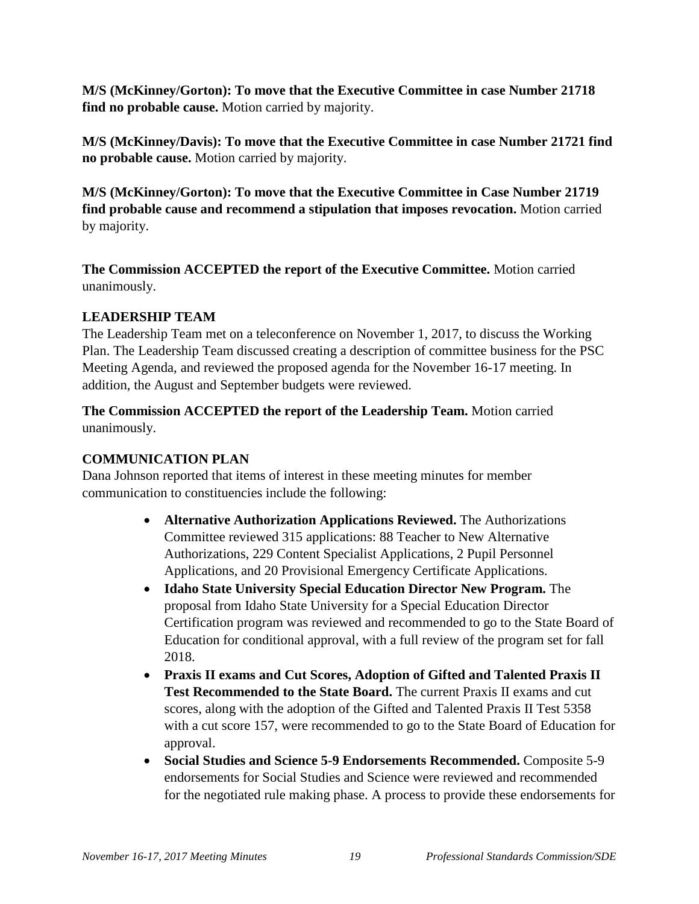**M/S (McKinney/Gorton): To move that the Executive Committee in case Number 21718 find no probable cause.** Motion carried by majority.

**M/S (McKinney/Davis): To move that the Executive Committee in case Number 21721 find no probable cause.** Motion carried by majority.

**M/S (McKinney/Gorton): To move that the Executive Committee in Case Number 21719 find probable cause and recommend a stipulation that imposes revocation.** Motion carried by majority.

**The Commission ACCEPTED the report of the Executive Committee.** Motion carried unanimously.

### **LEADERSHIP TEAM**

The Leadership Team met on a teleconference on November 1, 2017, to discuss the Working Plan. The Leadership Team discussed creating a description of committee business for the PSC Meeting Agenda, and reviewed the proposed agenda for the November 16-17 meeting. In addition, the August and September budgets were reviewed.

### **The Commission ACCEPTED the report of the Leadership Team.** Motion carried unanimously.

# **COMMUNICATION PLAN**

Dana Johnson reported that items of interest in these meeting minutes for member communication to constituencies include the following:

- **Alternative Authorization Applications Reviewed.** The Authorizations Committee reviewed 315 applications: 88 Teacher to New Alternative Authorizations, 229 Content Specialist Applications, 2 Pupil Personnel Applications, and 20 Provisional Emergency Certificate Applications.
- **Idaho State University Special Education Director New Program.** The proposal from Idaho State University for a Special Education Director Certification program was reviewed and recommended to go to the State Board of Education for conditional approval, with a full review of the program set for fall 2018.
- **Praxis II exams and Cut Scores, Adoption of Gifted and Talented Praxis II Test Recommended to the State Board.** The current Praxis II exams and cut scores, along with the adoption of the Gifted and Talented Praxis II Test 5358 with a cut score 157, were recommended to go to the State Board of Education for approval.
- **Social Studies and Science 5-9 Endorsements Recommended.** Composite 5-9 endorsements for Social Studies and Science were reviewed and recommended for the negotiated rule making phase. A process to provide these endorsements for